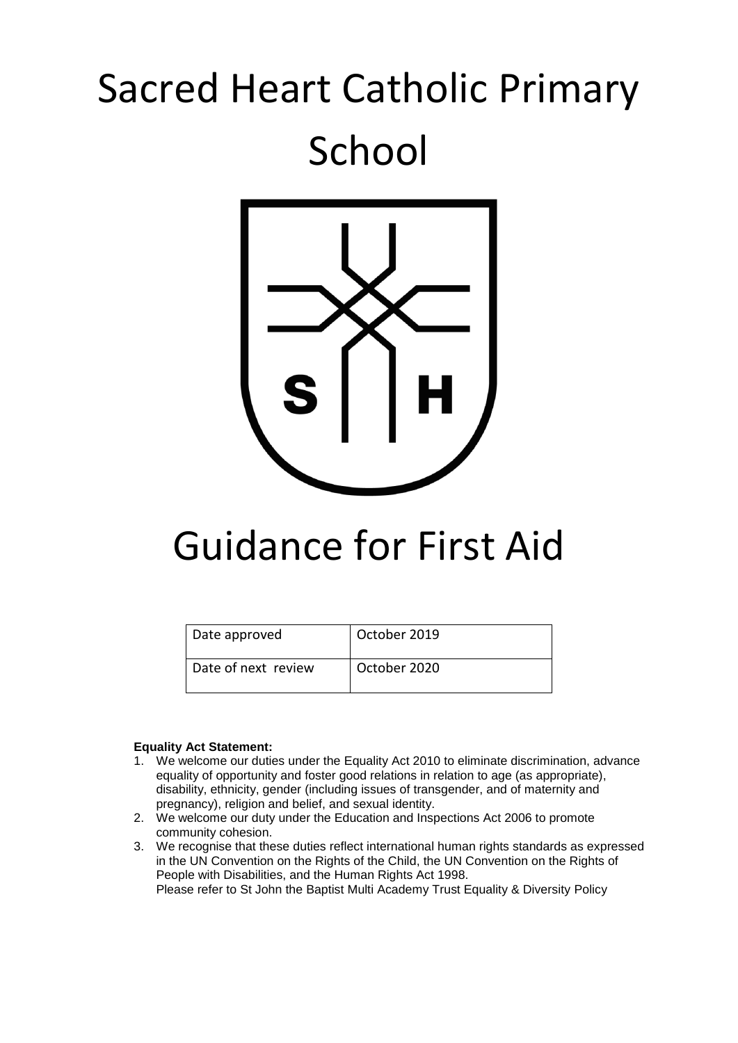# Sacred Heart Catholic Primary School



## Guidance for First Aid

| Date approved       | October 2019 |
|---------------------|--------------|
| Date of next review | October 2020 |

#### **Equality Act Statement:**

- 1. We welcome our duties under the Equality Act 2010 to eliminate discrimination, advance equality of opportunity and foster good relations in relation to age (as appropriate), disability, ethnicity, gender (including issues of transgender, and of maternity and pregnancy), religion and belief, and sexual identity.
- 2. We welcome our duty under the Education and Inspections Act 2006 to promote community cohesion.
- 3. We recognise that these duties reflect international human rights standards as expressed in the UN Convention on the Rights of the Child, the UN Convention on the Rights of People with Disabilities, and the Human Rights Act 1998. Please refer to St John the Baptist Multi Academy Trust Equality & Diversity Policy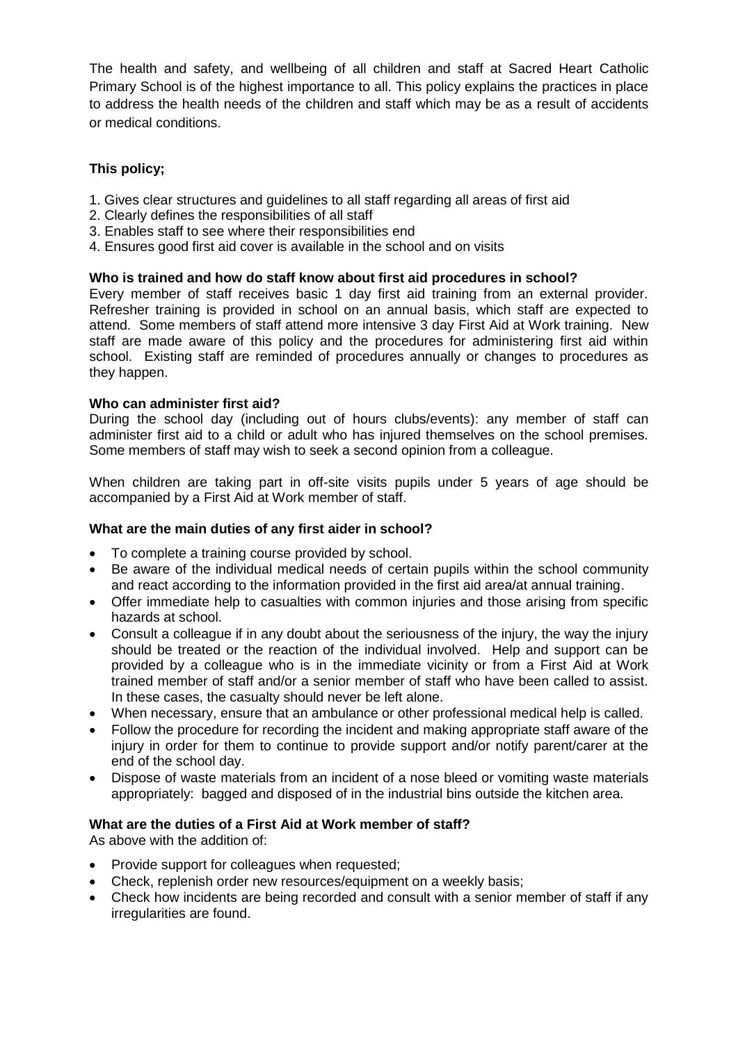The health and safety, and wellbeing of all children and staff at Sacred Heart Catholic Primary School is of the highest importance to all. This policy explains the practices in place to address the health needs of the children and staff which may be as a result of accidents or medical conditions.

### **This policy;**

- 1. Gives clear structures and guidelines to all staff regarding all areas of first aid
- 2. Clearly defines the responsibilities of all staff
- 3. Enables staff to see where their responsibilities end
- 4. Ensures good first aid cover is available in the school and on visits

### **Who is trained and how do staff know about first aid procedures in school?**

Every member of staff receives basic 1 day first aid training from an external provider. Refresher training is provided in school on an annual basis, which staff are expected to attend. Some members of staff attend more intensive 3 day First Aid at Work training. New staff are made aware of this policy and the procedures for administering first aid within school. Existing staff are reminded of procedures annually or changes to procedures as they happen.

#### **Who can administer first aid?**

During the school day (including out of hours clubs/events): any member of staff can administer first aid to a child or adult who has injured themselves on the school premises. Some members of staff may wish to seek a second opinion from a colleague.

When children are taking part in off-site visits pupils under 5 years of age should be accompanied by a First Aid at Work member of staff.

#### **What are the main duties of any first aider in school?**

- To complete a training course provided by school.
- Be aware of the individual medical needs of certain pupils within the school community and react according to the information provided in the first aid area/at annual training.
- Offer immediate help to casualties with common injuries and those arising from specific hazards at school.
- Consult a colleague if in any doubt about the seriousness of the injury, the way the injury should be treated or the reaction of the individual involved. Help and support can be provided by a colleague who is in the immediate vicinity or from a First Aid at Work trained member of staff and/or a senior member of staff who have been called to assist. In these cases, the casualty should never be left alone.
- When necessary, ensure that an ambulance or other professional medical help is called.
- Follow the procedure for recording the incident and making appropriate staff aware of the injury in order for them to continue to provide support and/or notify parent/carer at the end of the school day.
- Dispose of waste materials from an incident of a nose bleed or vomiting waste materials appropriately: bagged and disposed of in the industrial bins outside the kitchen area.

#### **What are the duties of a First Aid at Work member of staff?**

As above with the addition of:

- Provide support for colleagues when requested;
- Check, replenish order new resources/equipment on a weekly basis;
- Check how incidents are being recorded and consult with a senior member of staff if any irregularities are found.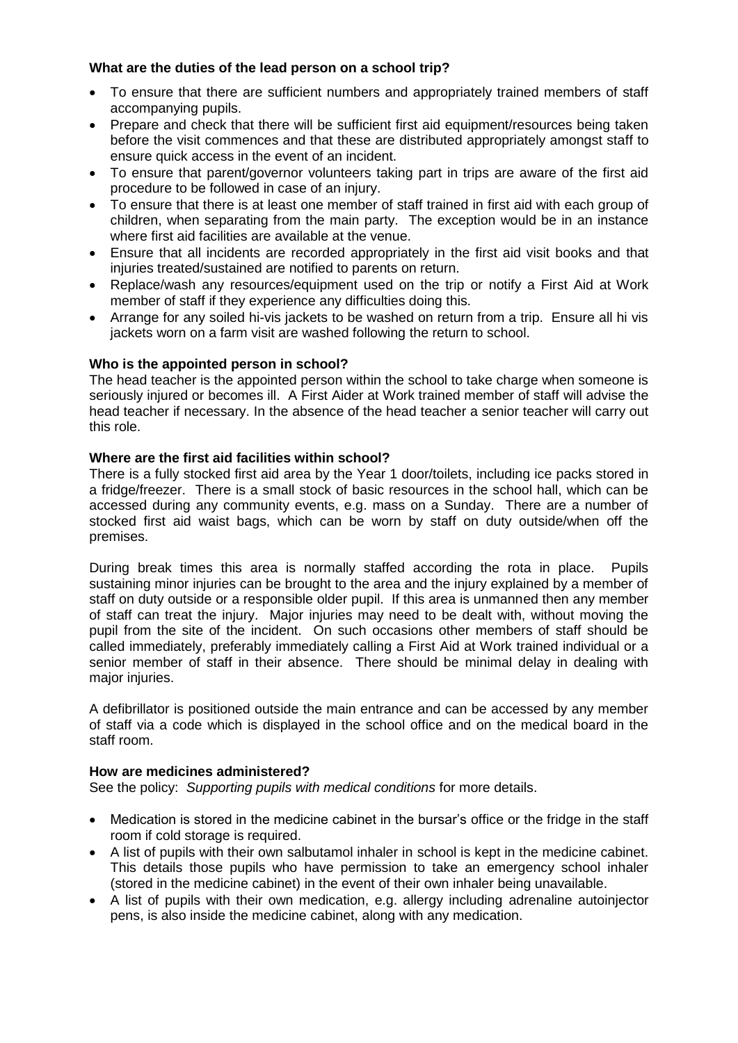#### **What are the duties of the lead person on a school trip?**

- To ensure that there are sufficient numbers and appropriately trained members of staff accompanying pupils.
- Prepare and check that there will be sufficient first aid equipment/resources being taken before the visit commences and that these are distributed appropriately amongst staff to ensure quick access in the event of an incident.
- To ensure that parent/governor volunteers taking part in trips are aware of the first aid procedure to be followed in case of an injury.
- To ensure that there is at least one member of staff trained in first aid with each group of children, when separating from the main party. The exception would be in an instance where first aid facilities are available at the venue.
- Ensure that all incidents are recorded appropriately in the first aid visit books and that injuries treated/sustained are notified to parents on return.
- Replace/wash any resources/equipment used on the trip or notify a First Aid at Work member of staff if they experience any difficulties doing this.
- Arrange for any soiled hi-vis jackets to be washed on return from a trip. Ensure all hi vis jackets worn on a farm visit are washed following the return to school.

#### **Who is the appointed person in school?**

The head teacher is the appointed person within the school to take charge when someone is seriously injured or becomes ill. A First Aider at Work trained member of staff will advise the head teacher if necessary. In the absence of the head teacher a senior teacher will carry out this role.

#### **Where are the first aid facilities within school?**

There is a fully stocked first aid area by the Year 1 door/toilets, including ice packs stored in a fridge/freezer. There is a small stock of basic resources in the school hall, which can be accessed during any community events, e.g. mass on a Sunday. There are a number of stocked first aid waist bags, which can be worn by staff on duty outside/when off the premises.

During break times this area is normally staffed according the rota in place. Pupils sustaining minor injuries can be brought to the area and the injury explained by a member of staff on duty outside or a responsible older pupil. If this area is unmanned then any member of staff can treat the injury. Major injuries may need to be dealt with, without moving the pupil from the site of the incident. On such occasions other members of staff should be called immediately, preferably immediately calling a First Aid at Work trained individual or a senior member of staff in their absence. There should be minimal delay in dealing with major injuries.

A defibrillator is positioned outside the main entrance and can be accessed by any member of staff via a code which is displayed in the school office and on the medical board in the staff room.

#### **How are medicines administered?**

See the policy: *Supporting pupils with medical conditions* for more details.

- Medication is stored in the medicine cabinet in the bursar's office or the fridge in the staff room if cold storage is required.
- A list of pupils with their own salbutamol inhaler in school is kept in the medicine cabinet. This details those pupils who have permission to take an emergency school inhaler (stored in the medicine cabinet) in the event of their own inhaler being unavailable.
- A list of pupils with their own medication, e.g. allergy including adrenaline autoinjector pens, is also inside the medicine cabinet, along with any medication.